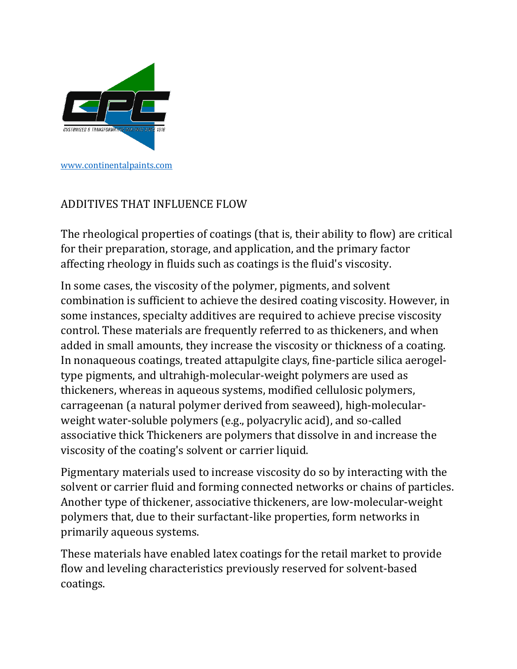

# ADDITIVES THAT INFLUENCE FLOW

The rheological properties of coatings (that is, their ability to flow) are critical for their preparation, storage, and application, and the primary factor affecting rheology in fluids such as coatings is the fluid's viscosity.

In some cases, the viscosity of the polymer, pigments, and solvent combination is sufficient to achieve the desired coating viscosity. However, in some instances, specialty additives are required to achieve precise viscosity control. These materials are frequently referred to as thickeners, and when added in small amounts, they increase the viscosity or thickness of a coating. In nonaqueous coatings, treated attapulgite clays, fine-particle silica aerogeltype pigments, and ultrahigh-molecular-weight polymers are used as thickeners, whereas in aqueous systems, modified cellulosic polymers, carrageenan (a natural polymer derived from seaweed), high-molecularweight water-soluble polymers (e.g., polyacrylic acid), and so-called associative thick Thickeners are polymers that dissolve in and increase the viscosity of the coating's solvent or carrier liquid.

Pigmentary materials used to increase viscosity do so by interacting with the solvent or carrier fluid and forming connected networks or chains of particles. Another type of thickener, associative thickeners, are low-molecular-weight polymers that, due to their surfactant-like properties, form networks in primarily aqueous systems.

These materials have enabled latex coatings for the retail market to provide flow and leveling characteristics previously reserved for solvent-based coatings.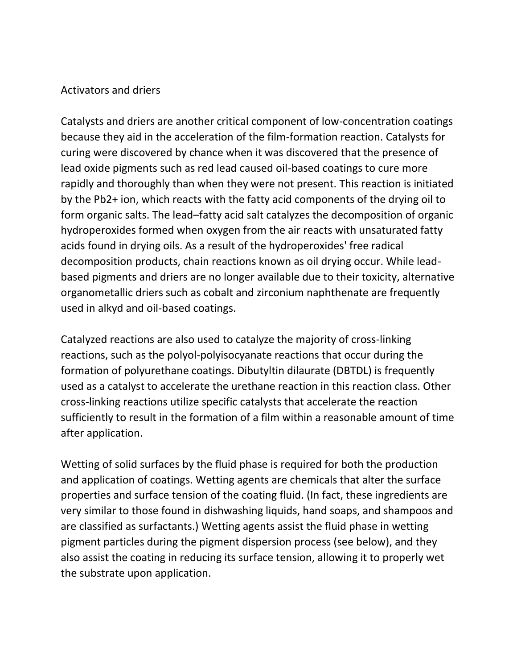### Activators and driers

Catalysts and driers are another critical component of low-concentration coatings because they aid in the acceleration of the film-formation reaction. Catalysts for curing were discovered by chance when it was discovered that the presence of lead oxide pigments such as red lead caused oil-based coatings to cure more rapidly and thoroughly than when they were not present. This reaction is initiated by the Pb2+ ion, which reacts with the fatty acid components of the drying oil to form organic salts. The lead–fatty acid salt catalyzes the decomposition of organic hydroperoxides formed when oxygen from the air reacts with unsaturated fatty acids found in drying oils. As a result of the hydroperoxides' free radical decomposition products, chain reactions known as oil drying occur. While leadbased pigments and driers are no longer available due to their toxicity, alternative organometallic driers such as cobalt and zirconium naphthenate are frequently used in alkyd and oil-based coatings.

Catalyzed reactions are also used to catalyze the majority of cross-linking reactions, such as the polyol-polyisocyanate reactions that occur during the formation of polyurethane coatings. Dibutyltin dilaurate (DBTDL) is frequently used as a catalyst to accelerate the urethane reaction in this reaction class. Other cross-linking reactions utilize specific catalysts that accelerate the reaction sufficiently to result in the formation of a film within a reasonable amount of time after application.

Wetting of solid surfaces by the fluid phase is required for both the production and application of coatings. Wetting agents are chemicals that alter the surface properties and surface tension of the coating fluid. (In fact, these ingredients are very similar to those found in dishwashing liquids, hand soaps, and shampoos and are classified as surfactants.) Wetting agents assist the fluid phase in wetting pigment particles during the pigment dispersion process (see below), and they also assist the coating in reducing its surface tension, allowing it to properly wet the substrate upon application.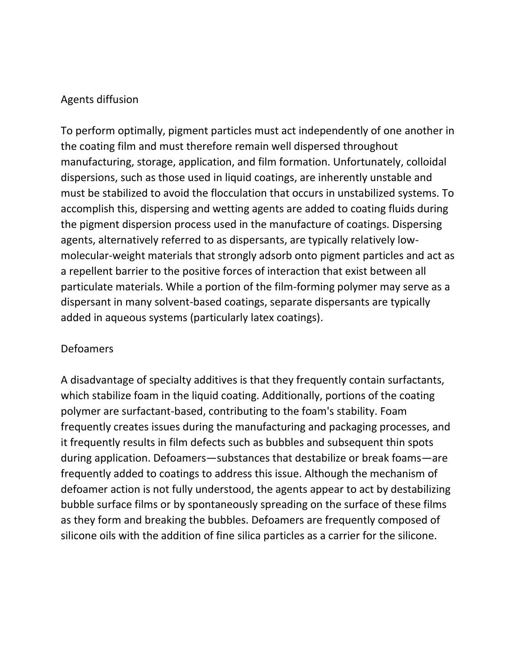## Agents diffusion

To perform optimally, pigment particles must act independently of one another in the coating film and must therefore remain well dispersed throughout manufacturing, storage, application, and film formation. Unfortunately, colloidal dispersions, such as those used in liquid coatings, are inherently unstable and must be stabilized to avoid the flocculation that occurs in unstabilized systems. To accomplish this, dispersing and wetting agents are added to coating fluids during the pigment dispersion process used in the manufacture of coatings. Dispersing agents, alternatively referred to as dispersants, are typically relatively lowmolecular-weight materials that strongly adsorb onto pigment particles and act as a repellent barrier to the positive forces of interaction that exist between all particulate materials. While a portion of the film-forming polymer may serve as a dispersant in many solvent-based coatings, separate dispersants are typically added in aqueous systems (particularly latex coatings).

### Defoamers

A disadvantage of specialty additives is that they frequently contain surfactants, which stabilize foam in the liquid coating. Additionally, portions of the coating polymer are surfactant-based, contributing to the foam's stability. Foam frequently creates issues during the manufacturing and packaging processes, and it frequently results in film defects such as bubbles and subsequent thin spots during application. Defoamers—substances that destabilize or break foams—are frequently added to coatings to address this issue. Although the mechanism of defoamer action is not fully understood, the agents appear to act by destabilizing bubble surface films or by spontaneously spreading on the surface of these films as they form and breaking the bubbles. Defoamers are frequently composed of silicone oils with the addition of fine silica particles as a carrier for the silicone.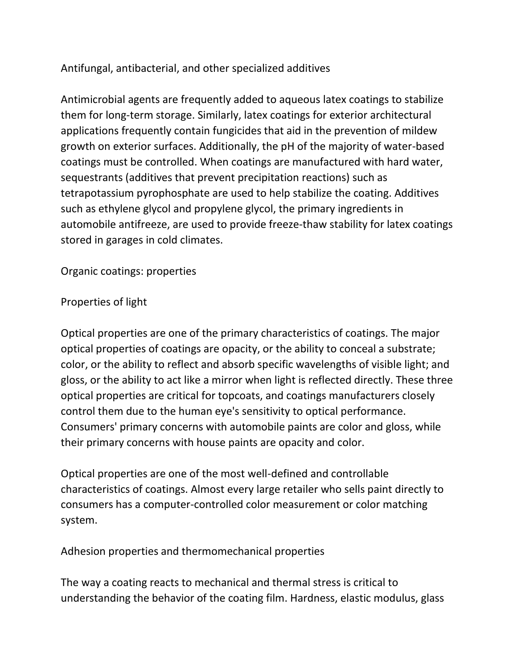# Antifungal, antibacterial, and other specialized additives

Antimicrobial agents are frequently added to aqueous latex coatings to stabilize them for long-term storage. Similarly, latex coatings for exterior architectural applications frequently contain fungicides that aid in the prevention of mildew growth on exterior surfaces. Additionally, the pH of the majority of water-based coatings must be controlled. When coatings are manufactured with hard water, sequestrants (additives that prevent precipitation reactions) such as tetrapotassium pyrophosphate are used to help stabilize the coating. Additives such as ethylene glycol and propylene glycol, the primary ingredients in automobile antifreeze, are used to provide freeze-thaw stability for latex coatings stored in garages in cold climates.

Organic coatings: properties

## Properties of light

Optical properties are one of the primary characteristics of coatings. The major optical properties of coatings are opacity, or the ability to conceal a substrate; color, or the ability to reflect and absorb specific wavelengths of visible light; and gloss, or the ability to act like a mirror when light is reflected directly. These three optical properties are critical for topcoats, and coatings manufacturers closely control them due to the human eye's sensitivity to optical performance. Consumers' primary concerns with automobile paints are color and gloss, while their primary concerns with house paints are opacity and color.

Optical properties are one of the most well-defined and controllable characteristics of coatings. Almost every large retailer who sells paint directly to consumers has a computer-controlled color measurement or color matching system.

Adhesion properties and thermomechanical properties

The way a coating reacts to mechanical and thermal stress is critical to understanding the behavior of the coating film. Hardness, elastic modulus, glass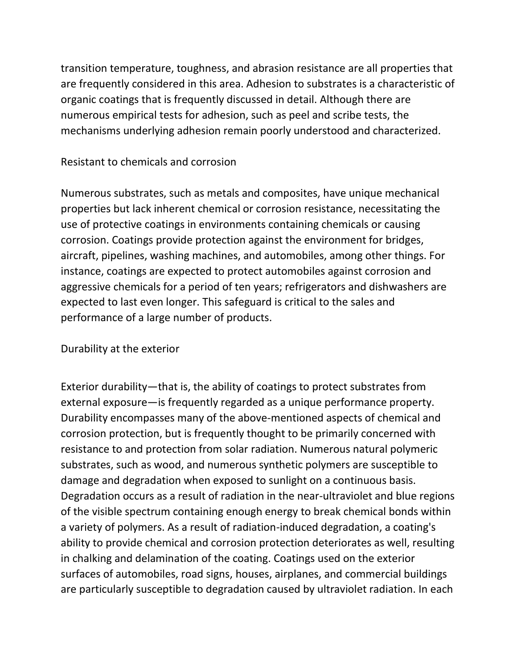transition temperature, toughness, and abrasion resistance are all properties that are frequently considered in this area. Adhesion to substrates is a characteristic of organic coatings that is frequently discussed in detail. Although there are numerous empirical tests for adhesion, such as peel and scribe tests, the mechanisms underlying adhesion remain poorly understood and characterized.

### Resistant to chemicals and corrosion

Numerous substrates, such as metals and composites, have unique mechanical properties but lack inherent chemical or corrosion resistance, necessitating the use of protective coatings in environments containing chemicals or causing corrosion. Coatings provide protection against the environment for bridges, aircraft, pipelines, washing machines, and automobiles, among other things. For instance, coatings are expected to protect automobiles against corrosion and aggressive chemicals for a period of ten years; refrigerators and dishwashers are expected to last even longer. This safeguard is critical to the sales and performance of a large number of products.

#### Durability at the exterior

Exterior durability—that is, the ability of coatings to protect substrates from external exposure—is frequently regarded as a unique performance property. Durability encompasses many of the above-mentioned aspects of chemical and corrosion protection, but is frequently thought to be primarily concerned with resistance to and protection from solar radiation. Numerous natural polymeric substrates, such as wood, and numerous synthetic polymers are susceptible to damage and degradation when exposed to sunlight on a continuous basis. Degradation occurs as a result of radiation in the near-ultraviolet and blue regions of the visible spectrum containing enough energy to break chemical bonds within a variety of polymers. As a result of radiation-induced degradation, a coating's ability to provide chemical and corrosion protection deteriorates as well, resulting in chalking and delamination of the coating. Coatings used on the exterior surfaces of automobiles, road signs, houses, airplanes, and commercial buildings are particularly susceptible to degradation caused by ultraviolet radiation. In each